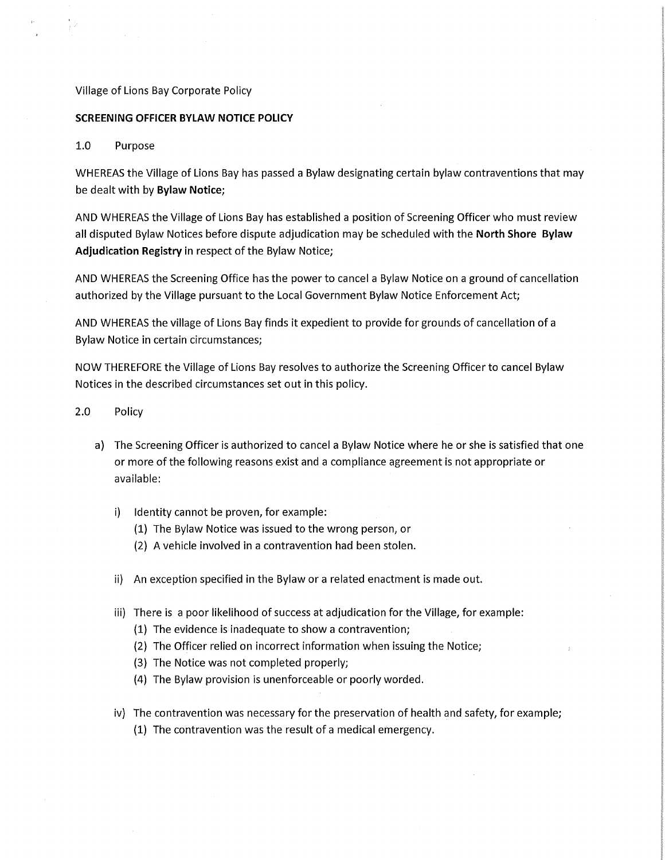## Village of Lions Bay Corporate Policy

## **SCREENING OFFICER BYLAW NOTICE POLICY**

## 1.0 Purpose

WHEREAS the Village of Lions Bay has passed a Bylaw designating certain bylaw contraventions that may be dealt with by **Bylaw Notice;** 

AND WHEREAS the Village of Lions Bay has established a position of Screening Officer who must review all disputed Bylaw Notices before dispute adjudication may be scheduled with the **North Shore Bylaw Adjudication Registry** in respect of the Bylaw Notice;

AND WHEREAS the Screening Office has the power to cancel a Bylaw Notice on a ground of cancellation authorized by the Village pursuant to the Local Government Bylaw Notice Enforcement Act;

AND WHEREAS the village of Lions Bay finds it expedient to provide for grounds of cancellation of a Bylaw Notice in certain circumstances;

NOW THEREFORE the Village of Lions Bay resolves to authorize the Screening Officer to cancel Bylaw Notices in the described circumstances set out in this policy.

- 2.0 Policy
	- a) The Screening Officer is authorized to cancel a Bylaw Notice where he or she is satisfied that one or more of the following reasons exist and a compliance agreement is not appropriate or available:
		- i) Identity cannot be proven, for example:
			- (1) The Bylaw Notice was issued to the wrong person, or
			- (2) A vehicle involved in a contravention had been stolen.
		- ii) An exception specified in the Bylaw or a related enactment is made out.
		- iii) There is a poor likelihood of success at adjudication for the Village, for example:
			- (1) The evidence is inadequate to show a contravention;
			- (2) The Officer relied on incorrect information when issuing the Notice;
			- (3) The Notice was not completed properly;
			- (4) The Bylaw provision is unenforceable or poorly worded.
		- iv) The contravention was necessary for the preservation of health and safety, for example;
			- (1) The contravention was the result of a medical emergency.